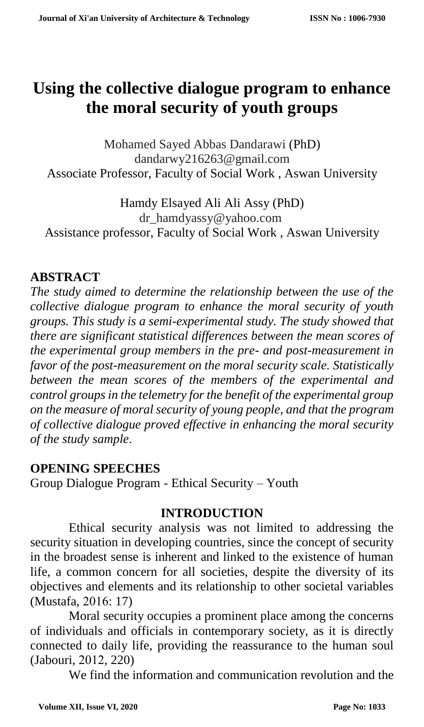# **Using the collective dialogue program to enhance the moral security of youth groups**

Mohamed Sayed Abbas Dandarawi (PhD) dandarwy216263@gmail.com Associate Professor, Faculty of Social Work , Aswan University

Hamdy Elsayed Ali Ali Assy (PhD) dr\_hamdyassy@yahoo.com Assistance professor, Faculty of Social Work , Aswan University

#### **ABSTRACT**

*The study aimed to determine the relationship between the use of the collective dialogue program to enhance the moral security of youth groups. This study is a semi-experimental study. The study showed that there are significant statistical differences between the mean scores of the experimental group members in the pre- and post-measurement in favor of the post-measurement on the moral security scale. Statistically between the mean scores of the members of the experimental and control groups in the telemetry for the benefit of the experimental group on the measure of moral security of young people, and that the program of collective dialogue proved effective in enhancing the moral security of the study sample*.

#### **OPENING SPEECHES**

Group Dialogue Program - Ethical Security – Youth

#### **INTRODUCTION**

Ethical security analysis was not limited to addressing the security situation in developing countries, since the concept of security in the broadest sense is inherent and linked to the existence of human life, a common concern for all societies, despite the diversity of its objectives and elements and its relationship to other societal variables (Mustafa, 2016: 17)

Moral security occupies a prominent place among the concerns of individuals and officials in contemporary society, as it is directly connected to daily life, providing the reassurance to the human soul (Jabouri, 2012, 220)

We find the information and communication revolution and the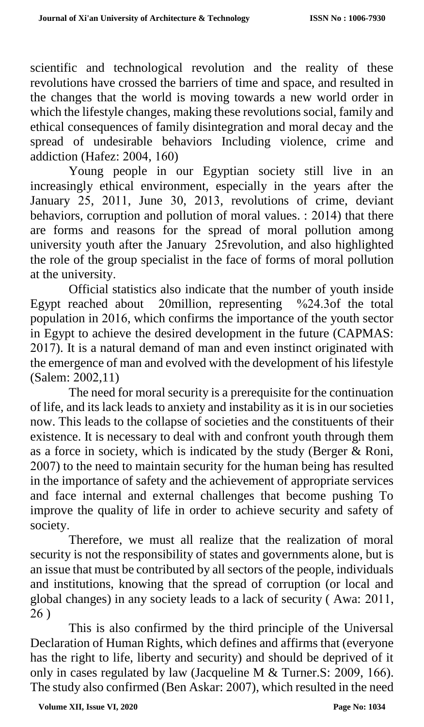scientific and technological revolution and the reality of these revolutions have crossed the barriers of time and space, and resulted in the changes that the world is moving towards a new world order in which the lifestyle changes, making these revolutions social, family and ethical consequences of family disintegration and moral decay and the spread of undesirable behaviors Including violence, crime and addiction (Hafez: 2004, 160)

Young people in our Egyptian society still live in an increasingly ethical environment, especially in the years after the January 25, 2011, June 30, 2013, revolutions of crime, deviant behaviors, corruption and pollution of moral values. : 2014) that there are forms and reasons for the spread of moral pollution among university youth after the January 25revolution, and also highlighted the role of the group specialist in the face of forms of moral pollution at the university.

Official statistics also indicate that the number of youth inside Egypt reached about 20million, representing %24.3of the total population in 2016, which confirms the importance of the youth sector in Egypt to achieve the desired development in the future (CAPMAS: 2017). It is a natural demand of man and even instinct originated with the emergence of man and evolved with the development of his lifestyle (Salem: 2002,11)

The need for moral security is a prerequisite for the continuation of life, and its lack leads to anxiety and instability as it is in our societies now. This leads to the collapse of societies and the constituents of their existence. It is necessary to deal with and confront youth through them as a force in society, which is indicated by the study (Berger & Roni, 2007) to the need to maintain security for the human being has resulted in the importance of safety and the achievement of appropriate services and face internal and external challenges that become pushing To improve the quality of life in order to achieve security and safety of society.

Therefore, we must all realize that the realization of moral security is not the responsibility of states and governments alone, but is an issue that must be contributed by all sectors of the people, individuals and institutions, knowing that the spread of corruption (or local and global changes) in any society leads to a lack of security ( Awa: 2011, 26 )

This is also confirmed by the third principle of the Universal Declaration of Human Rights, which defines and affirms that (everyone has the right to life, liberty and security) and should be deprived of it only in cases regulated by law (Jacqueline M & Turner.S: 2009, 166). The study also confirmed (Ben Askar: 2007), which resulted in the need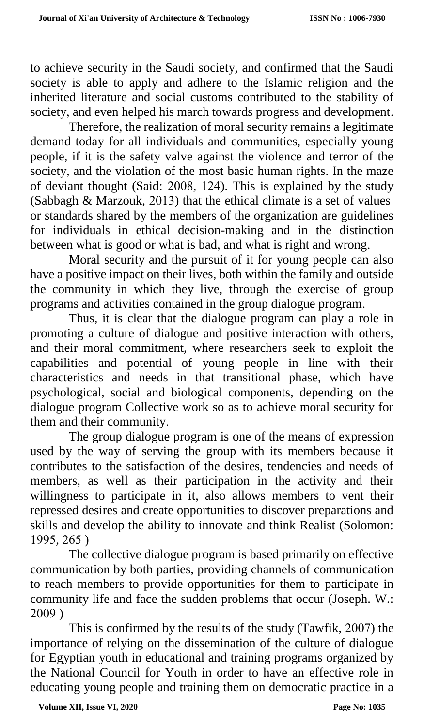to achieve security in the Saudi society, and confirmed that the Saudi society is able to apply and adhere to the Islamic religion and the inherited literature and social customs contributed to the stability of society, and even helped his march towards progress and development.

Therefore, the realization of moral security remains a legitimate demand today for all individuals and communities, especially young people, if it is the safety valve against the violence and terror of the society, and the violation of the most basic human rights. In the maze of deviant thought (Said: 2008, 124). This is explained by the study (Sabbagh & Marzouk, 2013) that the ethical climate is a set of values or standards shared by the members of the organization are guidelines for individuals in ethical decision-making and in the distinction between what is good or what is bad, and what is right and wrong.

Moral security and the pursuit of it for young people can also have a positive impact on their lives, both within the family and outside the community in which they live, through the exercise of group programs and activities contained in the group dialogue program.

Thus, it is clear that the dialogue program can play a role in promoting a culture of dialogue and positive interaction with others, and their moral commitment, where researchers seek to exploit the capabilities and potential of young people in line with their characteristics and needs in that transitional phase, which have psychological, social and biological components, depending on the dialogue program Collective work so as to achieve moral security for them and their community.

The group dialogue program is one of the means of expression used by the way of serving the group with its members because it contributes to the satisfaction of the desires, tendencies and needs of members, as well as their participation in the activity and their willingness to participate in it, also allows members to vent their repressed desires and create opportunities to discover preparations and skills and develop the ability to innovate and think Realist (Solomon: 1995, 265 )

The collective dialogue program is based primarily on effective communication by both parties, providing channels of communication to reach members to provide opportunities for them to participate in community life and face the sudden problems that occur (Joseph. W.: 2009 )

This is confirmed by the results of the study (Tawfik, 2007) the importance of relying on the dissemination of the culture of dialogue for Egyptian youth in educational and training programs organized by the National Council for Youth in order to have an effective role in educating young people and training them on democratic practice in a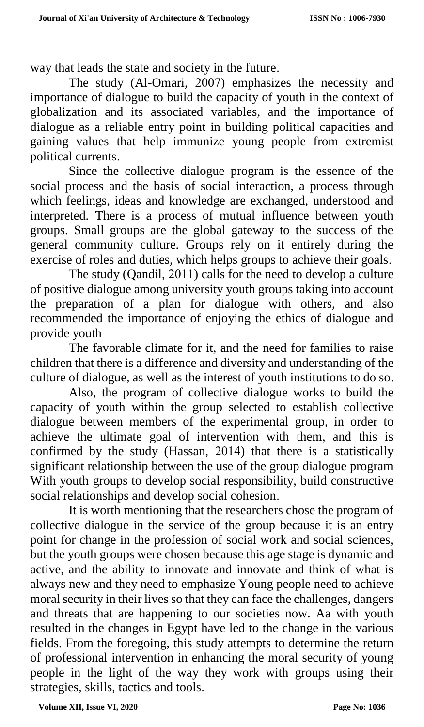way that leads the state and society in the future.

The study (Al-Omari, 2007) emphasizes the necessity and importance of dialogue to build the capacity of youth in the context of globalization and its associated variables, and the importance of dialogue as a reliable entry point in building political capacities and gaining values that help immunize young people from extremist political currents.

Since the collective dialogue program is the essence of the social process and the basis of social interaction, a process through which feelings, ideas and knowledge are exchanged, understood and interpreted. There is a process of mutual influence between youth groups. Small groups are the global gateway to the success of the general community culture. Groups rely on it entirely during the exercise of roles and duties, which helps groups to achieve their goals.

The study (Qandil, 2011) calls for the need to develop a culture of positive dialogue among university youth groups taking into account the preparation of a plan for dialogue with others, and also recommended the importance of enjoying the ethics of dialogue and provide youth

The favorable climate for it, and the need for families to raise children that there is a difference and diversity and understanding of the culture of dialogue, as well as the interest of youth institutions to do so.

Also, the program of collective dialogue works to build the capacity of youth within the group selected to establish collective dialogue between members of the experimental group, in order to achieve the ultimate goal of intervention with them, and this is confirmed by the study (Hassan, 2014) that there is a statistically significant relationship between the use of the group dialogue program With youth groups to develop social responsibility, build constructive social relationships and develop social cohesion.

It is worth mentioning that the researchers chose the program of collective dialogue in the service of the group because it is an entry point for change in the profession of social work and social sciences, but the youth groups were chosen because this age stage is dynamic and active, and the ability to innovate and innovate and think of what is always new and they need to emphasize Young people need to achieve moral security in their lives so that they can face the challenges, dangers and threats that are happening to our societies now. Aa with youth resulted in the changes in Egypt have led to the change in the various fields. From the foregoing, this study attempts to determine the return of professional intervention in enhancing the moral security of young people in the light of the way they work with groups using their strategies, skills, tactics and tools.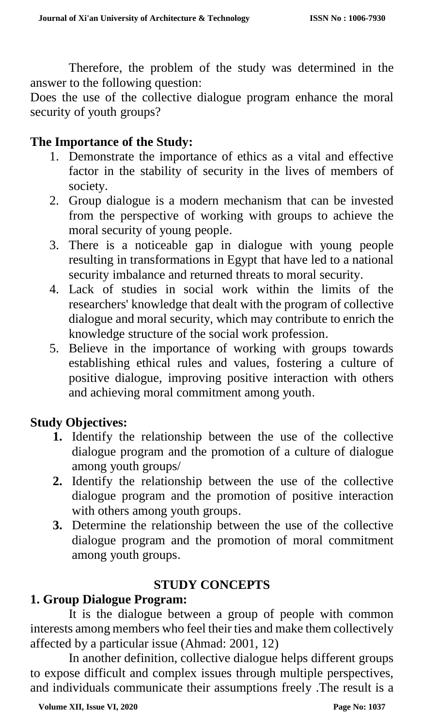Therefore, the problem of the study was determined in the answer to the following question:

Does the use of the collective dialogue program enhance the moral security of youth groups?

## **The Importance of the Study:**

- 1. Demonstrate the importance of ethics as a vital and effective factor in the stability of security in the lives of members of society.
- 2. Group dialogue is a modern mechanism that can be invested from the perspective of working with groups to achieve the moral security of young people.
- 3. There is a noticeable gap in dialogue with young people resulting in transformations in Egypt that have led to a national security imbalance and returned threats to moral security.
- 4. Lack of studies in social work within the limits of the researchers' knowledge that dealt with the program of collective dialogue and moral security, which may contribute to enrich the knowledge structure of the social work profession.
- 5. Believe in the importance of working with groups towards establishing ethical rules and values, fostering a culture of positive dialogue, improving positive interaction with others and achieving moral commitment among youth.

# **Study Objectives:**

- **1.** Identify the relationship between the use of the collective dialogue program and the promotion of a culture of dialogue among youth groups/
- **2.** Identify the relationship between the use of the collective dialogue program and the promotion of positive interaction with others among youth groups.
- **3.** Determine the relationship between the use of the collective dialogue program and the promotion of moral commitment among youth groups.

# **STUDY CONCEPTS**

# **1. Group Dialogue Program:**

It is the dialogue between a group of people with common interests among members who feel their ties and make them collectively affected by a particular issue (Ahmad: 2001, 12)

In another definition, collective dialogue helps different groups to expose difficult and complex issues through multiple perspectives, and individuals communicate their assumptions freely .The result is a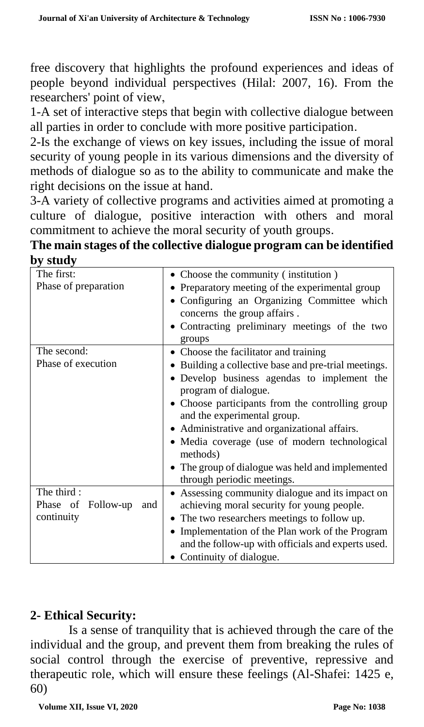free discovery that highlights the profound experiences and ideas of people beyond individual perspectives (Hilal: 2007, 16). From the researchers' point of view,

1-A set of interactive steps that begin with collective dialogue between all parties in order to conclude with more positive participation.

2-Is the exchange of views on key issues, including the issue of moral security of young people in its various dimensions and the diversity of methods of dialogue so as to the ability to communicate and make the right decisions on the issue at hand.

3-A variety of collective programs and activities aimed at promoting a culture of dialogue, positive interaction with others and moral commitment to achieve the moral security of youth groups.

| The main stages of the collective dialogue program can be identified |
|----------------------------------------------------------------------|
| by study                                                             |

| The first:                | • Choose the community (institution)               |
|---------------------------|----------------------------------------------------|
| Phase of preparation      | • Preparatory meeting of the experimental group    |
|                           | • Configuring an Organizing Committee which        |
|                           | concerns the group affairs.                        |
|                           | Contracting preliminary meetings of the two        |
|                           | groups                                             |
| The second:               | • Choose the facilitator and training              |
| Phase of execution        | Building a collective base and pre-trial meetings. |
|                           | · Develop business agendas to implement the        |
|                           | program of dialogue.                               |
|                           | • Choose participants from the controlling group   |
|                           | and the experimental group.                        |
|                           | • Administrative and organizational affairs.       |
|                           | · Media coverage (use of modern technological      |
|                           | methods)                                           |
|                           | • The group of dialogue was held and implemented   |
|                           | through periodic meetings.                         |
| The third:                | • Assessing community dialogue and its impact on   |
| Phase of Follow-up<br>and | achieving moral security for young people.         |
| continuity                | • The two researchers meetings to follow up.       |
|                           | • Implementation of the Plan work of the Program   |
|                           | and the follow-up with officials and experts used. |
|                           | Continuity of dialogue.                            |

# **2- Ethical Security:**

Is a sense of tranquility that is achieved through the care of the individual and the group, and prevent them from breaking the rules of social control through the exercise of preventive, repressive and therapeutic role, which will ensure these feelings (Al-Shafei: 1425 e, 60)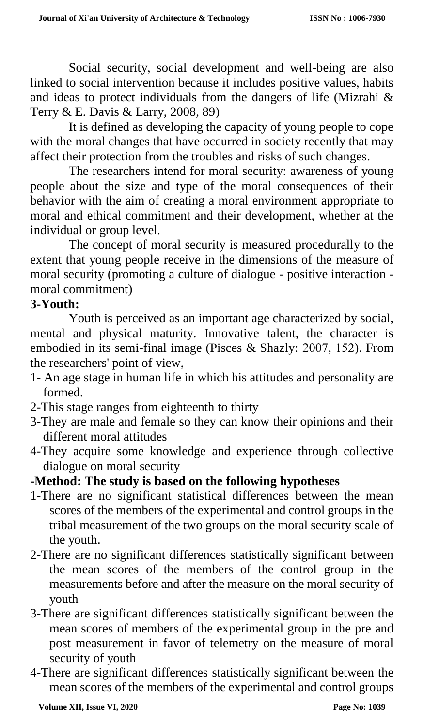Social security, social development and well-being are also linked to social intervention because it includes positive values, habits and ideas to protect individuals from the dangers of life (Mizrahi & Terry & E. Davis & Larry, 2008, 89)

It is defined as developing the capacity of young people to cope with the moral changes that have occurred in society recently that may affect their protection from the troubles and risks of such changes.

The researchers intend for moral security: awareness of young people about the size and type of the moral consequences of their behavior with the aim of creating a moral environment appropriate to moral and ethical commitment and their development, whether at the individual or group level.

The concept of moral security is measured procedurally to the extent that young people receive in the dimensions of the measure of moral security (promoting a culture of dialogue - positive interaction moral commitment)

#### **3-Youth:**

Youth is perceived as an important age characterized by social, mental and physical maturity. Innovative talent, the character is embodied in its semi-final image (Pisces & Shazly: 2007, 152). From the researchers' point of view,

- 1- An age stage in human life in which his attitudes and personality are formed.
- 2-This stage ranges from eighteenth to thirty
- 3-They are male and female so they can know their opinions and their different moral attitudes
- 4-They acquire some knowledge and experience through collective dialogue on moral security

# **-Method: The study is based on the following hypotheses**

- 1-There are no significant statistical differences between the mean scores of the members of the experimental and control groups in the tribal measurement of the two groups on the moral security scale of the youth.
- 2-There are no significant differences statistically significant between the mean scores of the members of the control group in the measurements before and after the measure on the moral security of youth
- 3-There are significant differences statistically significant between the mean scores of members of the experimental group in the pre and post measurement in favor of telemetry on the measure of moral security of youth
- 4-There are significant differences statistically significant between the mean scores of the members of the experimental and control groups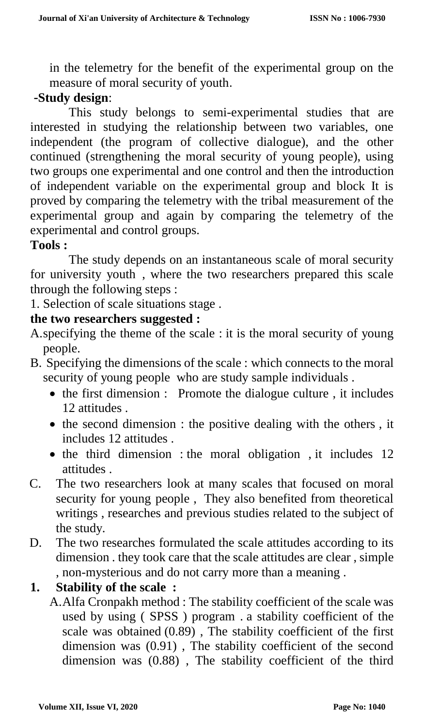in the telemetry for the benefit of the experimental group on the measure of moral security of youth.

## -**Study design**:

This study belongs to semi-experimental studies that are interested in studying the relationship between two variables, one independent (the program of collective dialogue), and the other continued (strengthening the moral security of young people), using two groups one experimental and one control and then the introduction of independent variable on the experimental group and block It is proved by comparing the telemetry with the tribal measurement of the experimental group and again by comparing the telemetry of the experimental and control groups.

#### **Tools :**

The study depends on an instantaneous scale of moral security for university youth , where the two researchers prepared this scale through the following steps :

1. Selection of scale situations stage .

#### **the two researchers suggested :**

- A.specifying the theme of the scale : it is the moral security of young people.
- B. Specifying the dimensions of the scale : which connects to the moral security of young people who are study sample individuals .
	- $\bullet$  the first dimension : Promote the dialogue culture, it includes 12 attitudes .
	- $\bullet$  the second dimension : the positive dealing with the others, it includes 12 attitudes .
	- $\bullet$  the third dimension : the moral obligation, it includes 12 attitudes .
- C. The two researchers look at many scales that focused on moral security for young people , They also benefited from theoretical writings , researches and previous studies related to the subject of the study.
- D. The two researches formulated the scale attitudes according to its dimension . they took care that the scale attitudes are clear , simple , non-mysterious and do not carry more than a meaning .

# **1. Stability of the scale :**

A.Alfa Cronpakh method : The stability coefficient of the scale was used by using ( SPSS ) program . a stability coefficient of the scale was obtained (0.89) , The stability coefficient of the first dimension was (0.91) , The stability coefficient of the second dimension was (0.88) , The stability coefficient of the third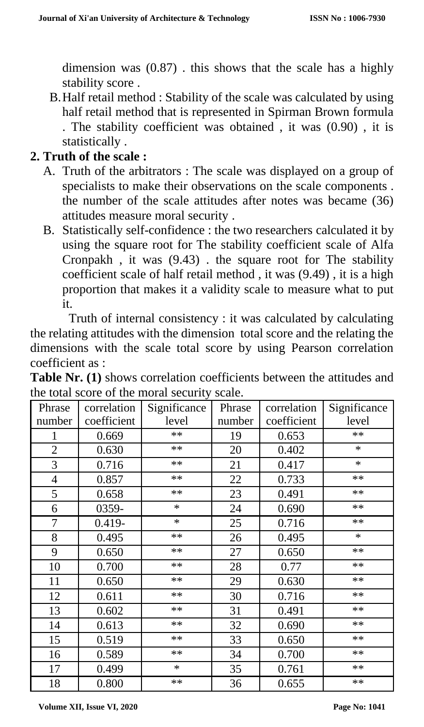dimension was (0.87) . this shows that the scale has a highly stability score .

B.Half retail method : Stability of the scale was calculated by using half retail method that is represented in Spirman Brown formula . The stability coefficient was obtained , it was (0.90) , it is statistically .

## **2. Truth of the scale :**

- A. Truth of the arbitrators : The scale was displayed on a group of specialists to make their observations on the scale components . the number of the scale attitudes after notes was became (36) attitudes measure moral security .
- B. Statistically self-confidence : the two researchers calculated it by using the square root for The stability coefficient scale of Alfa Cronpakh , it was (9.43) . the square root for The stability coefficient scale of half retail method , it was (9.49) , it is a high proportion that makes it a validity scale to measure what to put it.

Truth of internal consistency : it was calculated by calculating the relating attitudes with the dimension total score and the relating the dimensions with the scale total score by using Pearson correlation coefficient as :

| Phrase         | correlation | Significance | Phrase | correlation | Significance |
|----------------|-------------|--------------|--------|-------------|--------------|
| number         | coefficient | level        | number | coefficient | level        |
| 1              | 0.669       | $**$         | 19     | 0.653       | **           |
| $\overline{2}$ | 0.630       | $**$         | 20     | 0.402       | $\ast$       |
| 3              | 0.716       | **           | 21     | 0.417       | $\ast$       |
| $\overline{4}$ | 0.857       | $**$         | 22     | 0.733       | **           |
| 5              | 0.658       | $**$         | 23     | 0.491       | $**$         |
| 6              | 0359-       | $\ast$       | 24     | 0.690       | $**$         |
| 7              | $0.419 -$   | $\ast$       | 25     | 0.716       | $**$         |
| 8              | 0.495       | $**$         | 26     | 0.495       | $\ast$       |
| 9              | 0.650       | **           | 27     | 0.650       | $**$         |
| 10             | 0.700       | **           | 28     | 0.77        | $**$         |
| 11             | 0.650       | $**$         | 29     | 0.630       | $**$         |
| 12             | 0.611       | $\ast\ast$   | 30     | 0.716       | $**$         |
| 13             | 0.602       | $\ast\ast$   | 31     | 0.491       | $**$         |
| 14             | 0.613       | **           | 32     | 0.690       | $**$         |
| 15             | 0.519       | $**$         | 33     | 0.650       | $**$         |
| 16             | 0.589       | **           | 34     | 0.700       | $**$         |
| 17             | 0.499       | $\ast$       | 35     | 0.761       | $**$         |
| 18             | 0.800       | $\ast\ast$   | 36     | 0.655       | $**$         |

**Table Nr. (1)** shows correlation coefficients between the attitudes and the total score of the moral security scale.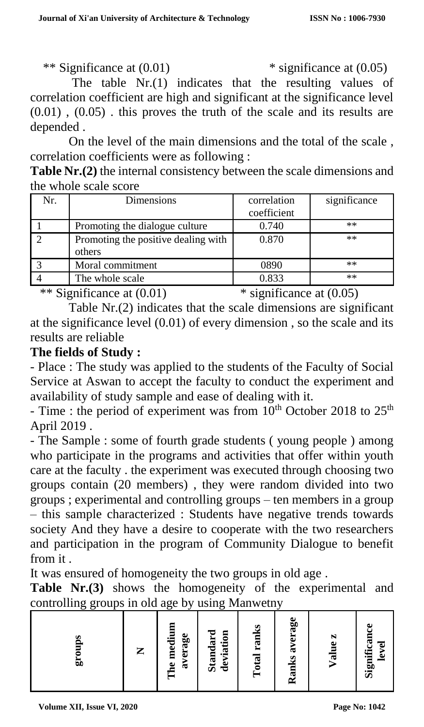\*\* Significance at (0.01) \* significance at (0.05)

The table  $Nr(1)$  indicates that the resulting values of correlation coefficient are high and significant at the significance level  $(0.01)$ ,  $(0.05)$ . this proves the truth of the scale and its results are depended .

On the level of the main dimensions and the total of the scale , correlation coefficients were as following :

**Table Nr.(2)** the internal consistency between the scale dimensions and the whole scale score

| Nr. | Dimensions                          | correlation | significance |
|-----|-------------------------------------|-------------|--------------|
|     |                                     | coefficient |              |
|     | Promoting the dialogue culture      | 0.740       | $**$         |
|     | Promoting the positive dealing with | 0.870       | $***$        |
|     | others                              |             |              |
|     | Moral commitment                    | 0890        | $**$         |
|     | The whole scale                     | 0.833       | $**$         |

\*\* Significance at (0.01) \* significance at (0.05)

Table Nr.(2) indicates that the scale dimensions are significant at the significance level (0.01) of every dimension , so the scale and its results are reliable

## **The fields of Study :**

- Place : The study was applied to the students of the Faculty of Social Service at Aswan to accept the faculty to conduct the experiment and availability of study sample and ease of dealing with it.

- Time : the period of experiment was from  $10^{th}$  October 2018 to  $25^{th}$ April 2019 .

- The Sample : some of fourth grade students ( young people ) among who participate in the programs and activities that offer within youth care at the faculty . the experiment was executed through choosing two groups contain (20 members) , they were random divided into two groups ; experimental and controlling groups – ten members in a group – this sample characterized : Students have negative trends towards society And they have a desire to cooperate with the two researchers and participation in the program of Community Dialogue to benefit from it .

It was ensured of homogeneity the two groups in old age .

**Table Nr.(3)** shows the homogeneity of the experimental and controlling groups in old age by using Manwetny

| L<br>50 | Z | he mediu<br>average<br>╒═ | <b>Standard</b><br>deviation | S<br>ran<br>$\overline{a}$<br>ਠ | Ranks average | N<br>$\bullet$<br>$\overline{\mathbf{S}}$ | පී<br>Ē<br>Significa<br>ē<br>۵ |
|---------|---|---------------------------|------------------------------|---------------------------------|---------------|-------------------------------------------|--------------------------------|
|---------|---|---------------------------|------------------------------|---------------------------------|---------------|-------------------------------------------|--------------------------------|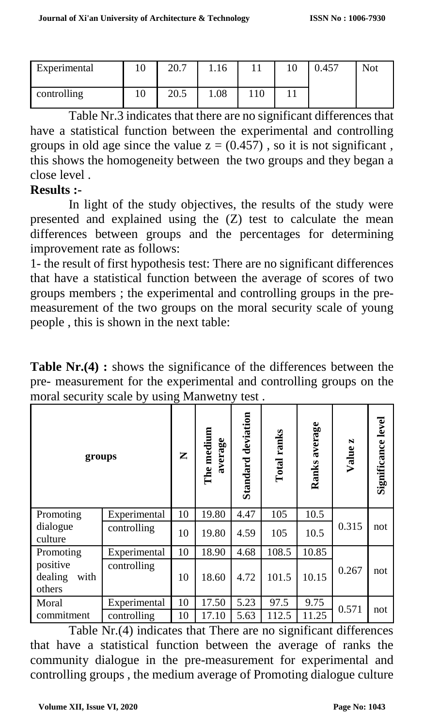| Experimental | 10 | 20.7 | 1.16 | 10 | 0.457 | <b>Not</b> |
|--------------|----|------|------|----|-------|------------|
| controlling  | 10 | 20.5 | 0.08 |    |       |            |

Table Nr.3 indicates that there are no significant differences that have a statistical function between the experimental and controlling groups in old age since the value  $z = (0.457)$ , so it is not significant, this shows the homogeneity between the two groups and they began a close level .

# **Results :-**

In light of the study objectives, the results of the study were presented and explained using the (Z) test to calculate the mean differences between groups and the percentages for determining improvement rate as follows:

1- the result of first hypothesis test: There are no significant differences that have a statistical function between the average of scores of two groups members ; the experimental and controlling groups in the premeasurement of the two groups on the moral security scale of young people , this is shown in the next table:

**Table Nr.(4) :** shows the significance of the differences between the pre- measurement for the experimental and controlling groups on the moral security scale by using Manwetny test .

| groups                                |              |    | The medium<br>average | Standard deviation | Total ranks | Ranks average | Value z | Significance level |
|---------------------------------------|--------------|----|-----------------------|--------------------|-------------|---------------|---------|--------------------|
| Promoting                             | Experimental | 10 | 19.80                 | 4.47               | 105         | 10.5          |         |                    |
| dialogue<br>culture                   | controlling  | 10 | 19.80                 | 4.59               | 105         | 10.5          | 0.315   | not                |
| Promoting                             | Experimental | 10 | 18.90                 | 4.68               | 108.5       | 10.85         |         |                    |
| positive<br>dealing<br>with<br>others | controlling  | 10 | 18.60                 | 4.72               | 101.5       | 10.15         | 0.267   | not                |
| Moral                                 | Experimental | 10 | 17.50                 | 5.23               | 97.5        | 9.75          | 0.571   | not                |
| commitment                            | controlling  | 10 | 17.10                 | 5.63               | 112.5       | 11.25         |         |                    |

Table Nr.(4) indicates that There are no significant differences that have a statistical function between the average of ranks the community dialogue in the pre-measurement for experimental and controlling groups , the medium average of Promoting dialogue culture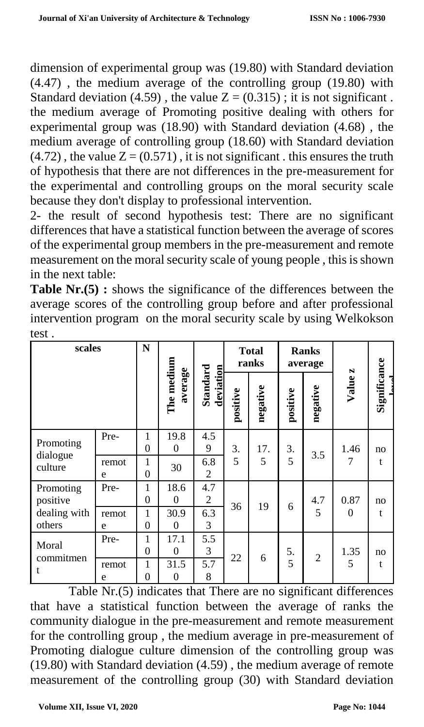dimension of experimental group was (19.80) with Standard deviation (4.47) , the medium average of the controlling group (19.80) with Standard deviation (4.59), the value  $Z = (0.315)$ ; it is not significant. the medium average of Promoting positive dealing with others for experimental group was (18.90) with Standard deviation (4.68) , the medium average of controlling group (18.60) with Standard deviation  $(4.72)$ , the value  $Z = (0.571)$ , it is not significant. this ensures the truth of hypothesis that there are not differences in the pre-measurement for the experimental and controlling groups on the moral security scale because they don't display to professional intervention.

2- the result of second hypothesis test: There are no significant differences that have a statistical function between the average of scores of the experimental group members in the pre-measurement and remote measurement on the moral security scale of young people , this is shown in the next table:

**Table Nr.(5) :** shows the significance of the differences between the average scores of the controlling group before and after professional intervention program on the moral security scale by using Welkokson test .

| scales                 |            | N                       |                        |                       |          | <b>Total</b><br>ranks |          | <b>Ranks</b><br>average |          |              |
|------------------------|------------|-------------------------|------------------------|-----------------------|----------|-----------------------|----------|-------------------------|----------|--------------|
|                        |            |                         | The medium<br>average  | Standard<br>deviation | positive | negative              | positive | negative                | Value z  | Significance |
| Promoting              | Pre-       | 1<br>$\theta$           | 19.8<br>$\theta$       | 4.5<br>9              | 3.       | 17.                   | 3.       | 3.5                     | 1.46     | no           |
| dialogue<br>culture    | remot<br>e | $\mathbf 1$<br>$\theta$ | 30                     | 6.8<br>2              | 5        | 5                     | 5        |                         | 7        | t            |
| Promoting<br>positive  | Pre-       | 1<br>$\theta$           | 18.6<br>$\theta$       | 4.7<br>2              | 36       | 19                    | 6        | 4.7                     | 0.87     | no           |
| dealing with<br>others | remot<br>e | 1<br>$\theta$           | 30.9<br>$\theta$       | 6.3<br>3              |          |                       |          | 5                       | $\Omega$ | t            |
| Moral                  | Pre-       | 1<br>$\theta$           | 17.1<br>$\theta$       | 5.5<br>3              | 22       | 6                     | 5.       | $\overline{2}$          | 1.35     | no           |
| commitmen<br>t         | remot<br>e | 1<br>$\theta$           | 31.5<br>$\overline{0}$ | 5.7<br>8              |          |                       | 5        |                         | 5        | t            |

Table Nr.(5) indicates that There are no significant differences that have a statistical function between the average of ranks the community dialogue in the pre-measurement and remote measurement for the controlling group , the medium average in pre-measurement of Promoting dialogue culture dimension of the controlling group was (19.80) with Standard deviation (4.59) , the medium average of remote measurement of the controlling group (30) with Standard deviation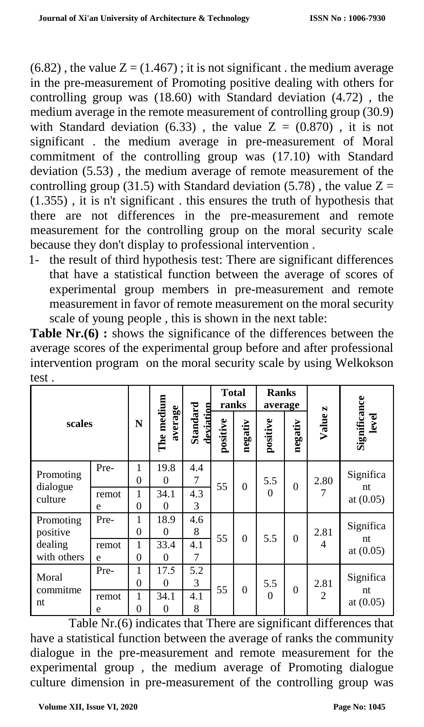$(6.82)$ , the value  $Z = (1.467)$ ; it is not significant. the medium average in the pre-measurement of Promoting positive dealing with others for controlling group was (18.60) with Standard deviation (4.72) , the medium average in the remote measurement of controlling group (30.9) with Standard deviation (6.33), the value  $Z = (0.870)$ , it is not significant . the medium average in pre-measurement of Moral commitment of the controlling group was (17.10) with Standard deviation (5.53) , the medium average of remote measurement of the controlling group (31.5) with Standard deviation (5.78), the value  $Z =$ (1.355) , it is n't significant . this ensures the truth of hypothesis that there are not differences in the pre-measurement and remote measurement for the controlling group on the moral security scale because they don't display to professional intervention .

1- the result of third hypothesis test: There are significant differences that have a statistical function between the average of scores of experimental group members in pre-measurement and remote measurement in favor of remote measurement on the moral security scale of young people , this is shown in the next table:

**Table Nr.(6)**: shows the significance of the differences between the average scores of the experimental group before and after professional intervention program on the moral security scale by using Welkokson test .

| scales                 |            |               |                       |                       | <b>Total</b><br>ranks |          | <b>Ranks</b><br>average |          | N              |                       |
|------------------------|------------|---------------|-----------------------|-----------------------|-----------------------|----------|-------------------------|----------|----------------|-----------------------|
|                        |            | N             | The medium<br>average | Standard<br>deviation | positive              | negativ  | positive                | negativ  | Value          | Significance<br>level |
| Promoting<br>dialogue  | Pre-       | 1<br>$\theta$ | 19.8<br>$\Omega$      | 4.4<br>7              | 55                    | $\theta$ | 5.5                     | $\Omega$ | 2.80           | Significa             |
| culture                | remot<br>e | 1<br>$\theta$ | 34.1<br>$\Omega$      | 4.3<br>3              |                       |          | $\theta$                |          | 7              | nt<br>at $(0.05)$     |
| Promoting<br>positive  | Pre-       | 1<br>0        | 18.9<br>$\theta$      | 4.6<br>8              | 55                    |          |                         |          | 2.81           | Significa             |
| dealing<br>with others | remot<br>e | 1<br>$\theta$ | 33.4<br>$\Omega$      | 4.1<br>7              |                       | $\theta$ | 5.5                     | $\theta$ | 4              | nt<br>at $(0.05)$     |
| Moral                  | Pre-       | 1<br>0        | 17.5<br>$\theta$      | 5.2<br>3              |                       |          | 5.5                     |          | 2.81           | Significa             |
| commitme<br>nt         | remot<br>e | 1<br>0        | 34.1<br>$\theta$      | 4.1<br>8              | 55                    | $\theta$ | $\Omega$                | $\Omega$ | $\overline{2}$ | nt<br>at $(0.05)$     |

Table Nr.(6) indicates that There are significant differences that have a statistical function between the average of ranks the community dialogue in the pre-measurement and remote measurement for the experimental group , the medium average of Promoting dialogue culture dimension in pre-measurement of the controlling group was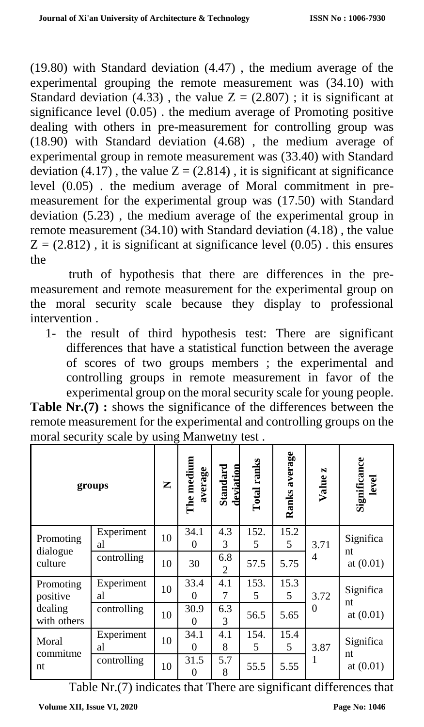(19.80) with Standard deviation (4.47) , the medium average of the experimental grouping the remote measurement was (34.10) with Standard deviation (4.33), the value  $Z = (2.807)$ ; it is significant at significance level  $(0.05)$ . the medium average of Promoting positive dealing with others in pre-measurement for controlling group was (18.90) with Standard deviation (4.68) , the medium average of experimental group in remote measurement was (33.40) with Standard deviation (4.17), the value  $Z = (2.814)$ , it is significant at significance level (0.05) . the medium average of Moral commitment in premeasurement for the experimental group was (17.50) with Standard deviation (5.23) , the medium average of the experimental group in remote measurement (34.10) with Standard deviation (4.18) , the value  $Z = (2.812)$ , it is significant at significance level  $(0.05)$ . this ensures the

truth of hypothesis that there are differences in the premeasurement and remote measurement for the experimental group on the moral security scale because they display to professional intervention .

1- the result of third hypothesis test: There are significant differences that have a statistical function between the average of scores of two groups members ; the experimental and controlling groups in remote measurement in favor of the experimental group on the moral security scale for young people.

| <b>Table Nr.</b> (7): shows the significance of the differences between the |  |  |
|-----------------------------------------------------------------------------|--|--|
| remote measurement for the experimental and controlling groups on the       |  |  |
| moral security scale by using Manwetny test.                                |  |  |

|                        | groups           | Z  | The medium<br>average | Standard<br>deviation | Total ranks | Ranks average | Value z  | Significance<br>level |
|------------------------|------------------|----|-----------------------|-----------------------|-------------|---------------|----------|-----------------------|
| Promoting<br>dialogue  | Experiment<br>al | 10 | 34.1<br>$\theta$      | 4.3<br>3              | 152.<br>5   | 15.2<br>5     | 3.71     | Significa<br>nt       |
| culture                | controlling      | 10 | 30                    | 6.8<br>$\overline{2}$ | 57.5        | 5.75          | 4        | at $(0.01)$           |
| Promoting<br>positive  | Experiment<br>al | 10 | 33.4<br>$\theta$      | 4.1<br>7              | 153.<br>5   | 15.3<br>5     | 3.72     | Significa<br>nt       |
| dealing<br>with others | controlling      | 10 | 30.9<br>$\theta$      | 6.3<br>3              | 56.5        | 5.65          | $\Omega$ | at $(0.01)$           |
| Moral                  | Experiment<br>al | 10 | 34.1<br>$\theta$      | 4.1<br>8              | 154.<br>5   | 15.4<br>5     | 3.87     | Significa             |
| commitme<br>nt         | controlling      | 10 | 31.5<br>$\theta$      | 5.7<br>8              | 55.5        | 5.55          | 1        | nt<br>at $(0.01)$     |

Table Nr.(7) indicates that There are significant differences that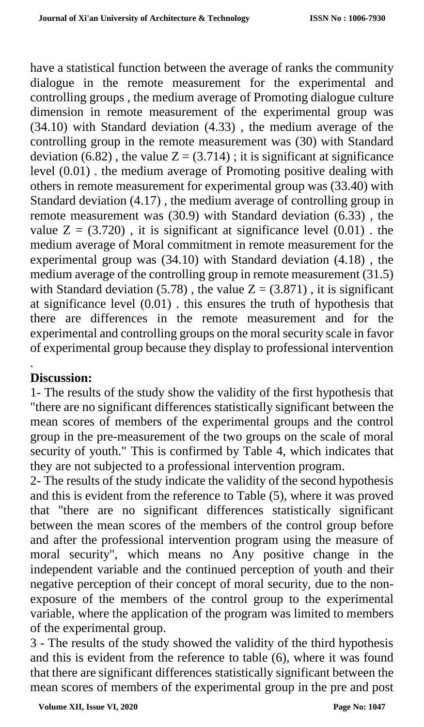have a statistical function between the average of ranks the community dialogue in the remote measurement for the experimental and controlling groups , the medium average of Promoting dialogue culture dimension in remote measurement of the experimental group was (34.10) with Standard deviation (4.33) , the medium average of the controlling group in the remote measurement was (30) with Standard deviation  $(6.82)$ , the value  $Z = (3.714)$ ; it is significant at significance level (0.01) . the medium average of Promoting positive dealing with others in remote measurement for experimental group was (33.40) with Standard deviation (4.17) , the medium average of controlling group in remote measurement was (30.9) with Standard deviation (6.33) , the value  $Z = (3.720)$ , it is significant at significance level  $(0.01)$ . the medium average of Moral commitment in remote measurement for the experimental group was (34.10) with Standard deviation (4.18) , the medium average of the controlling group in remote measurement (31.5) with Standard deviation (5.78), the value  $Z = (3.871)$ , it is significant at significance level (0.01) . this ensures the truth of hypothesis that there are differences in the remote measurement and for the experimental and controlling groups on the moral security scale in favor of experimental group because they display to professional intervention

#### . **Discussion:**

1- The results of the study show the validity of the first hypothesis that "there are no significant differences statistically significant between the mean scores of members of the experimental groups and the control group in the pre-measurement of the two groups on the scale of moral security of youth." This is confirmed by Table 4, which indicates that they are not subjected to a professional intervention program.

2- The results of the study indicate the validity of the second hypothesis and this is evident from the reference to Table (5), where it was proved that "there are no significant differences statistically significant between the mean scores of the members of the control group before and after the professional intervention program using the measure of moral security", which means no Any positive change in the independent variable and the continued perception of youth and their negative perception of their concept of moral security, due to the nonexposure of the members of the control group to the experimental variable, where the application of the program was limited to members of the experimental group.

3 - The results of the study showed the validity of the third hypothesis and this is evident from the reference to table (6), where it was found that there are significant differences statistically significant between the mean scores of members of the experimental group in the pre and post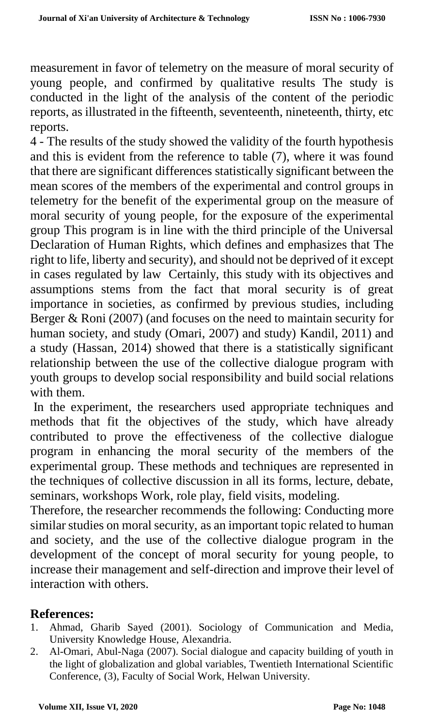measurement in favor of telemetry on the measure of moral security of young people, and confirmed by qualitative results The study is conducted in the light of the analysis of the content of the periodic reports, as illustrated in the fifteenth, seventeenth, nineteenth, thirty, etc reports.

4 - The results of the study showed the validity of the fourth hypothesis and this is evident from the reference to table (7), where it was found that there are significant differences statistically significant between the mean scores of the members of the experimental and control groups in telemetry for the benefit of the experimental group on the measure of moral security of young people, for the exposure of the experimental group This program is in line with the third principle of the Universal Declaration of Human Rights, which defines and emphasizes that The right to life, liberty and security), and should not be deprived of it except in cases regulated by law Certainly, this study with its objectives and assumptions stems from the fact that moral security is of great importance in societies, as confirmed by previous studies, including Berger & Roni (2007) (and focuses on the need to maintain security for human society, and study (Omari, 2007) and study) Kandil, 2011) and a study (Hassan, 2014) showed that there is a statistically significant relationship between the use of the collective dialogue program with youth groups to develop social responsibility and build social relations with them.

In the experiment, the researchers used appropriate techniques and methods that fit the objectives of the study, which have already contributed to prove the effectiveness of the collective dialogue program in enhancing the moral security of the members of the experimental group. These methods and techniques are represented in the techniques of collective discussion in all its forms, lecture, debate, seminars, workshops Work, role play, field visits, modeling.

Therefore, the researcher recommends the following: Conducting more similar studies on moral security, as an important topic related to human and society, and the use of the collective dialogue program in the development of the concept of moral security for young people, to increase their management and self-direction and improve their level of interaction with others.

#### **References:**

- 1. Ahmad, Gharib Sayed (2001). Sociology of Communication and Media, University Knowledge House, Alexandria.
- 2. Al-Omari, Abul-Naga (2007). Social dialogue and capacity building of youth in the light of globalization and global variables, Twentieth International Scientific Conference, (3), Faculty of Social Work, Helwan University.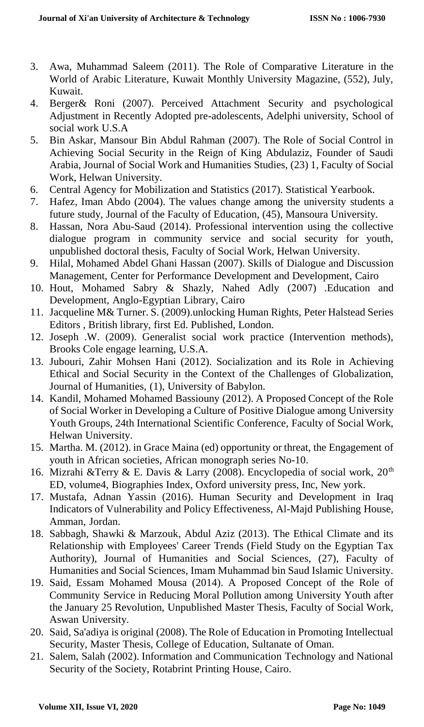- 3. Awa, Muhammad Saleem (2011). The Role of Comparative Literature in the World of Arabic Literature, Kuwait Monthly University Magazine, (552), July, Kuwait.
- 4. Berger& Roni (2007). Perceived Attachment Security and psychological Adjustment in Recently Adopted pre-adolescents, Adelphi university, School of social work U.S.A
- 5. Bin Askar, Mansour Bin Abdul Rahman (2007). The Role of Social Control in Achieving Social Security in the Reign of King Abdulaziz, Founder of Saudi Arabia, Journal of Social Work and Humanities Studies, (23) 1, Faculty of Social Work, Helwan University.
- 6. Central Agency for Mobilization and Statistics (2017). Statistical Yearbook.
- 7. Hafez, Iman Abdo (2004). The values change among the university students a future study, Journal of the Faculty of Education, (45), Mansoura University.
- 8. Hassan, Nora Abu-Saud (2014). Professional intervention using the collective dialogue program in community service and social security for youth, unpublished doctoral thesis, Faculty of Social Work, Helwan University.
- 9. Hilal, Mohamed Abdel Ghani Hassan (2007). Skills of Dialogue and Discussion Management, Center for Performance Development and Development, Cairo
- 10. Hout, Mohamed Sabry & Shazly, Nahed Adly (2007) .Education and Development, Anglo-Egyptian Library, Cairo
- 11. Jacqueline M& Turner. S. (2009).unlocking Human Rights, Peter Halstead Series Editors , British library, first Ed. Published, London.
- 12. Joseph .W. (2009). Generalist social work practice (Intervention methods), Brooks Cole engage learning, U.S.A.
- 13. Jubouri, Zahir Mohsen Hani (2012). Socialization and its Role in Achieving Ethical and Social Security in the Context of the Challenges of Globalization, Journal of Humanities, (1), University of Babylon.
- 14. Kandil, Mohamed Mohamed Bassiouny (2012). A Proposed Concept of the Role of Social Worker in Developing a Culture of Positive Dialogue among University Youth Groups, 24th International Scientific Conference, Faculty of Social Work, Helwan University.
- 15. Martha. M. (2012). in Grace Maina (ed) opportunity or threat, the Engagement of youth in African societies, African monograph series No-10.
- 16. Mizrahi &Terry & E. Davis & Larry (2008). Encyclopedia of social work,  $20<sup>th</sup>$ ED, volume4, Biographies Index, Oxford university press, Inc, New york.
- 17. Mustafa, Adnan Yassin (2016). Human Security and Development in Iraq Indicators of Vulnerability and Policy Effectiveness, Al-Majd Publishing House, Amman, Jordan.
- 18. Sabbagh, Shawki & Marzouk, Abdul Aziz (2013). The Ethical Climate and its Relationship with Employees' Career Trends (Field Study on the Egyptian Tax Authority), Journal of Humanities and Social Sciences, (27), Faculty of Humanities and Social Sciences, Imam Muhammad bin Saud Islamic University.
- 19. Said, Essam Mohamed Mousa (2014). A Proposed Concept of the Role of Community Service in Reducing Moral Pollution among University Youth after the January 25 Revolution, Unpublished Master Thesis, Faculty of Social Work, Aswan University.
- 20. Said, Sa'adiya is original (2008). The Role of Education in Promoting Intellectual Security, Master Thesis, College of Education, Sultanate of Oman.
- 21. Salem, Salah (2002). Information and Communication Technology and National Security of the Society, Rotabrint Printing House, Cairo.